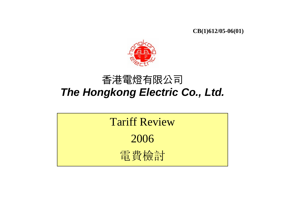**CB(1)612/05-06(01)**



## 香港電燈有限公司 *The Hongkong Electric Co., Ltd.*

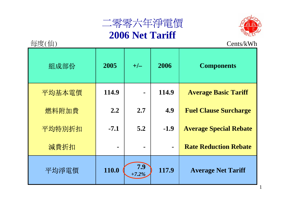



1

| 每度(仙)  | Cents/kWh |                 |                |                               |  |
|--------|-----------|-----------------|----------------|-------------------------------|--|
| 組成部份   | 2005      | $+/-$           | 2006           | <b>Components</b>             |  |
| 平均基本電價 | 114.9     |                 | 114.9          | <b>Average Basic Tariff</b>   |  |
| 燃料附加費  | 2.2       | 2.7             | 4.9            | <b>Fuel Clause Surcharge</b>  |  |
| 平均特別折扣 | $-7.1$    | 5.2             | $-1.9$         | <b>Average Special Rebate</b> |  |
| 減費折扣   |           |                 | $\blacksquare$ | <b>Rate Reduction Rebate</b>  |  |
| 平均淨電價  | 110.0     | 7.9<br>$+7.2\%$ | 117.9          | <b>Average Net Tariff</b>     |  |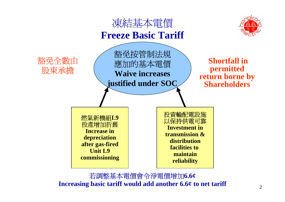

若調整基本電價會令淨電價增加**6.6¢ Increasing basic tariff would add another 6.6¢ to net tariff**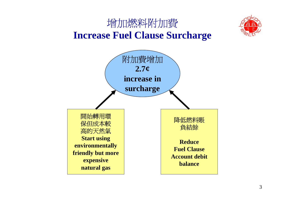



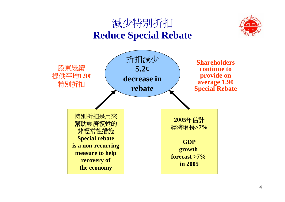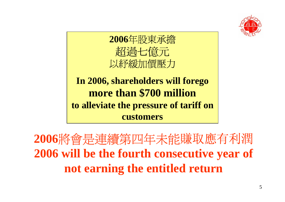



**In 2006, shareholders will forego more than \$700 million to alleviate the pressure of tariff on customers**

**<sup>2006</sup>**將會是連續第四年未能賺取應有利潤 **2006 will be the fourth consecutive year of not earning the entitled return**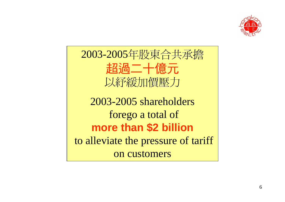

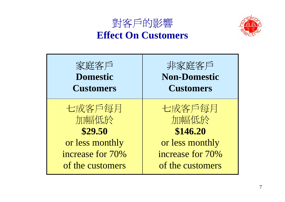## 對客戶的影響 **Effect On Customers**



| 家庭客戶<br><b>Domestic</b><br><b>Customers</b> | 非家庭客戶<br><b>Non-Domestic</b><br><b>Customers</b> |
|---------------------------------------------|--------------------------------------------------|
| 七成客戶每月<br>加幅低於<br>\$29.50                   | 七成客戶每月<br>加幅低於<br>\$146.20                       |
| or less monthly                             | or less monthly                                  |
| increase for 70%                            | increase for 70%                                 |
| of the customers                            | of the customers                                 |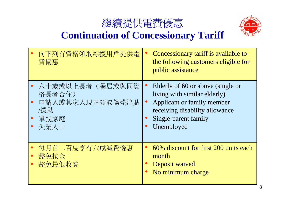



## **EDEDEDER KONTERDER KONCERGE ASSES EXERCE** FOR KONTERNATION CONTERNATION CONTERNATION

| 向下列有資格領取綜援用戶提供電<br>費優惠                                              |           | Concessionary tariff is available to<br>the following customers eligible for<br>public assistance                                                                       |
|---------------------------------------------------------------------|-----------|-------------------------------------------------------------------------------------------------------------------------------------------------------------------------|
| 六十歲或以上長者(獨居或與同資<br>格長者合住)<br>申請人或其家人現正領取傷殘津貼<br>/援助<br>單親家庭<br>失業人士 | $\bullet$ | Elderly of 60 or above (single or<br>living with similar elderly)<br>Applicant or family member<br>receiving disability allowance<br>Single-parent family<br>Unemployed |
| 每月首二百度享有六成減費優惠<br>豁免按金<br>豁免最低收費                                    |           | 60% discount for first 200 units each<br>month<br>Deposit waived<br>No minimum charge                                                                                   |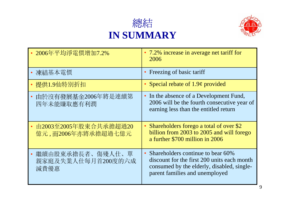



| 2006年平均淨電價增加7.2%                               | • 7.2% increase in average net tariff for<br>2006                                                                                                                  |
|------------------------------------------------|--------------------------------------------------------------------------------------------------------------------------------------------------------------------|
| 凍結基本電價                                         | • Freezing of basic tariff                                                                                                                                         |
| 提供1.9仙特別折扣                                     | • Special rebate of $1.9¢$ provided                                                                                                                                |
| 由於沒有發展基金2006年將是連續第<br>四年未能賺取應有利潤               | In the absence of a Development Fund,<br>$\bullet$<br>2006 will be the fourth consecutive year of<br>earning less than the entitled return                         |
| 由2003至2005年股東合共承擔超過20<br>億元,而2006年亦將承擔超過七億元    | Shareholders forego a total of over \$2<br>billion from 2003 to 2005 and will forego<br>a further \$700 million in 2006                                            |
| 繼續由股東承擔長者、傷殘人仕、單<br>親家庭及失業人仕每月首200度的六成<br>減費優惠 | • Shareholders continue to bear 60%<br>discount for the first 200 units each month<br>consumed by the elderly, disabled, single-<br>parent families and unemployed |